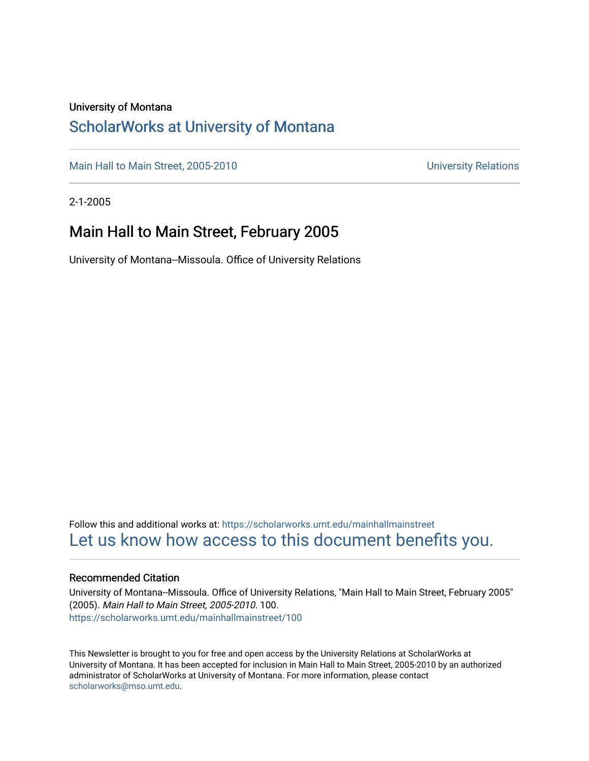#### University of Montana

#### [ScholarWorks at University of Montana](https://scholarworks.umt.edu/)

[Main Hall to Main Street, 2005-2010](https://scholarworks.umt.edu/mainhallmainstreet) Main Hall to Main Street, 2005-2010

2-1-2005

#### Main Hall to Main Street, February 2005

University of Montana--Missoula. Office of University Relations

Follow this and additional works at: [https://scholarworks.umt.edu/mainhallmainstreet](https://scholarworks.umt.edu/mainhallmainstreet?utm_source=scholarworks.umt.edu%2Fmainhallmainstreet%2F100&utm_medium=PDF&utm_campaign=PDFCoverPages) [Let us know how access to this document benefits you.](https://goo.gl/forms/s2rGfXOLzz71qgsB2) 

#### Recommended Citation

University of Montana--Missoula. Office of University Relations, "Main Hall to Main Street, February 2005" (2005). Main Hall to Main Street, 2005-2010. 100. [https://scholarworks.umt.edu/mainhallmainstreet/100](https://scholarworks.umt.edu/mainhallmainstreet/100?utm_source=scholarworks.umt.edu%2Fmainhallmainstreet%2F100&utm_medium=PDF&utm_campaign=PDFCoverPages)

This Newsletter is brought to you for free and open access by the University Relations at ScholarWorks at University of Montana. It has been accepted for inclusion in Main Hall to Main Street, 2005-2010 by an authorized administrator of ScholarWorks at University of Montana. For more information, please contact [scholarworks@mso.umt.edu.](mailto:scholarworks@mso.umt.edu)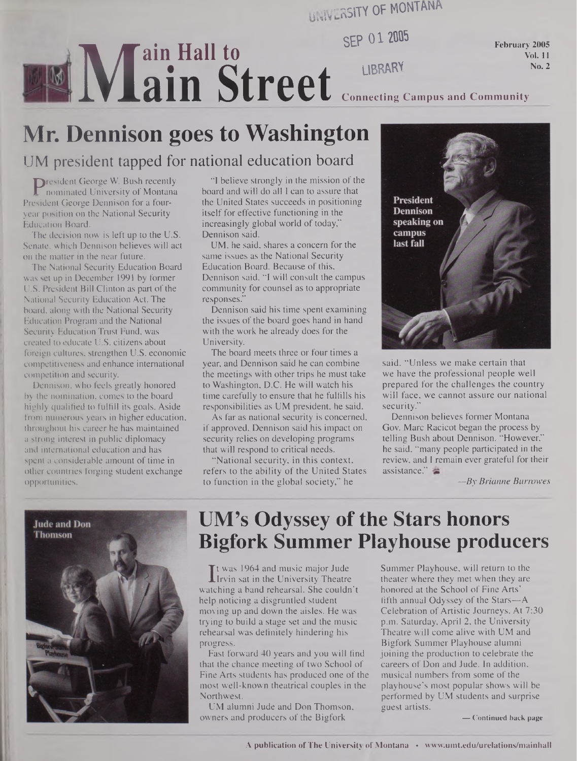**HMlVr RSITY OF MONTANA**

**sg> 012005**

**February 2005 Vol. 11 No. 2**

ain Street Connecting C **Connecting Campus and Community**

# **MI Mr. Dennison goes to Washington**

**ain Hall to**

#### UM president tapped for national education board

**President George W. Bush recently**<br>
nominated University of Montana<br>
esident George Dennison for a four-**D**resident George W. Bush recently nominated University of Montana year position on the National Security Education Board.

The decision now is left up to the U.S. Senate, which Dennison believes will act on the matter in the near future.

The National Security Education Board was set up in December 1991 by former U.S. President Bill Clinton as part of the National Security Education Act. The board, along with the National Security Education Program and the National Security Education Trust Fund, was created to educate U.S. citizens about foreign cultures, strengthen U.S. economic competitiveness and enhance international competition and security.

Dennison, who feels greatly honored by the nomination, comes to the board highly qualified to fulfill its goals. Aside from numerous years in higher education, throughout his career he has maintained a strong interest in public diplomacy and international education and has spent a considerable amount of time in other countries forging student exchange opportunities.

"I believe strongly in the mission of the board and will do all I can to assure that the United States succeeds in positioning itself for effective functioning in the increasingly global world of today," Dennison said.

UM, he said, shares a concern for the same issues as the National Security Education Board. Because of this, Dennison said, "I will consult the campus community for counsel as to appropriate responses."

Dennison said his time spent examining the issues of the board goes hand in hand with the work he already does for the University.

The board meets three or four times a year, and Dennison said he can combine the meetings with other trips he must take to Washington, D.C. He will watch his time carefully to ensure that he fulfills his responsibilities as UM president, he said.

As far as national security is concerned, if approved, Dennison said his impact on security relies on developing programs that will respond to critical needs.

"National security, in this context, refers to the ability of the United States to function in the global society," he



said. "Unless we make certain that we have the professional people well prepared for the challenges the country will face, we cannot assure our national security.'

Dennison believes former Montana Gov. Marc Racicot began the process by telling Bush about Dennison. "However," he said, "many people participated in the review, and I remain ever grateful for their assistance."

*—By Brianne Burrowes*



### **UM's Odyssey of the Stars honors Bigfork Summer Playhouse producers**

 $\prod_{\rm atc}$ t was 1964 and music major Jude Irvin sat in the University Theatre watching a band rehearsal. She couldn't help noticing a disgruntled student moving up and down the aisles. He was trying to build a stage set and the music rehearsal was definitely hindering his progress.

Fast forward 40 years and you will find that the chance meeting of two School of Fine Arts students has produced one of the most well-known theatrical couples in the Northwest.

UM alumni Jude and Don Thomson, owners and producers of the Bigfork

Summer Playhouse, will return to the theater where they met when they are honored at the School of Fine Arts' fifth annual Odyssey of the Stars-A Celebration of Artistic Journeys. At 7:30 p.m. Saturday, April 2, the University Theatre will come alive with UM and Bigfork Summer Playhouse alumni joining the production to celebrate the careers of Don and Jude. In addition, musical numbers from some of the playhouse's most popular shows will be performed by UM students and surprise guest artists.

**— Continued back page**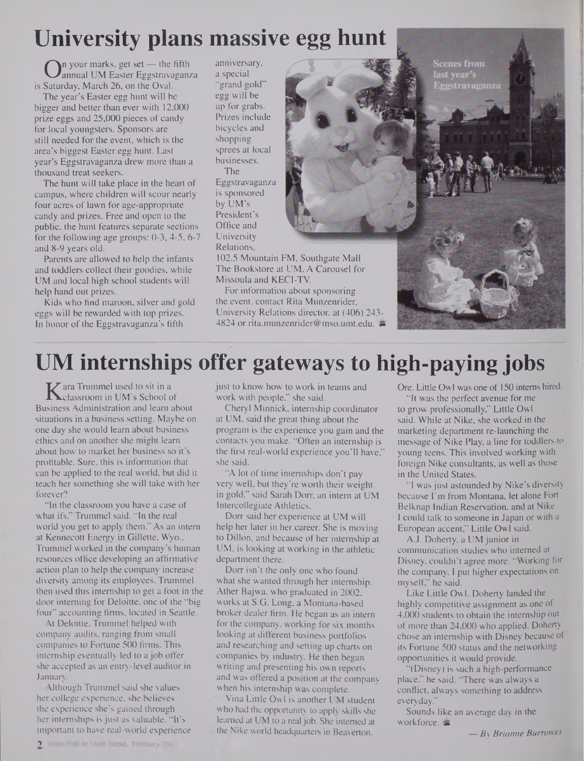# **University plans massive egg hunt**

**O**n your marks, get set — the fifth<br>Saturday, March 26, on the Oval. annual UM Easter Eggstravaganza is Saturday, March 26, on the Oval.

The year's Easter egg hunt will be bigger and better than ever with 12,000 prize eggs and 25,000 pieces of candy for local youngsters. Sponsors are still needed for the event, which is the area's biggest Easter egg hunt. Last year's Eggstravaganza drew more than a thousand treat seekers.

The hunt will take place in the heart of campus, where children will scour nearly four acres of lawn for age-appropriate candy and prizes. Free and open to the public, the hunt features separate sections for the following age groups: 0-3,4-5, 6-7 and 8-9 years old.

Parents are allowed to help the infants and toddlers collect their goodies, while UM and local high school students will help hand out prizes.

Kids who find maroon, silver and gold eggs will be rewarded with top prizes. In honor of the Eggstravaganza's fifth

anniversary, a special "grand gold" egg will be up for grabs. Prizes include bicycles and shopping sprees at local businesses. The Eggstravaganza is sponsored by UM's

President's Office and University Relations,



102.5 Mountain FM, Southgate Mall The Bookstore at UM, A Carousel for Missoula and KECI-TV.

For information about sponsoring the event, contact Rita Munzenrider, University Relations director, at (406) 243- 4824 or [rita.munzenrider@mso.umt.edu](mailto:rita.munzenrider@mso.umt.edu). & **Scenes from** last vear's

# **UM internships offer gateways to high-paying jobs**

**K** ara Trummel used to sit in a<br>classroom in UM's School c<br>siness Administration and learn classroom in UM's School of Business Administration and learn about situations in a business setting. Maybe on one day she would learn about business ethics and on another she might learn about how to market her business so it's profitable. Sure, this is information that can be applied to the real world, but did it teach her something she will take with her forever?

"In the classroom you have a case of what ifs," Trummel said. "In the real world you get to apply them." As an intern at Kennecott Energy in Gillette, Wyo., Trummel worked in the company's human resources office developing an affirmative action plan to help the company increase diversity among its employees. Trammel then used this internship to get a foot in the door interning for Deloitte, one of the "big four" accounting firms, located in Seattle.

At Deloitte, Trammel helped with company audits, ranging from small companies to Fortune 500 firms. This internship eventually led to a job offer she accepted as an entry-level auditor in January.

Although Trammel said she values her college experience, she believes the experience she's gained through her internships is just as valuable. "It's important to have real-world experience just to know how to work in teams and work with people," she said.

Cheryl Minnick, internship coordinator at UM, said the great thing about the program is the experience you gain and the contacts you make. "Often an internship is the first real-world experience you'll have," she said.

"A lot of time internships don't pay very well, but they're worth their weight in gold," said Sarah Dorr, an intern at UM Intercollegiate Athletics.

Dorr said her experience at UM will help her later in her career. She is moving to Dillon, and because of her internship at UM, is looking at working in the athletic department there.

Dorr isn't the only one who found what she wanted through her internship. Ather Bajwa, who graduated in 2002, works at S.G. Long, a Montana-based broker dealer firm. He began as an intern for the company, working for six months looking at different business portfolios and researching and setting up charts on companies by industry. He then began writing and presenting his own reports and was offered a position at the company when his internship was complete.

Vina Little Owl is another UM student who had the opportunity to apply skills she learned at UM to a real job. She interned at the Nike world headquarters in Beaverton,

Ore. Little Owl was one of 150 interns hired.

"It was the perfect avenue for me to grow professionally," Little Owl said. While at Nike, she worked in the marketing department re-launching the message of Nike Play, a line for toddlers to young teens. This involved working with foreign Nike consultants, as well as those in the United States.

"I wasjust astounded by Nike's diversity because I'm from Montana, let alone Fort Belknap Indian Reservation, and at Nike I could talk to someone in Japan or with a European accent," Little Owl said.

A.J. Doherty, a UM junior in communication studies who interned at Disney, couldn't agree more. "Working for the company, I put higher expectations on myself," he said.

Like Little Owl, Doherty landed the highly competitive assignment as one of 4,000 students to obtain the internship out of more than 24,000 who applied. Doherty chose an internship with Disney because ol its Fortune 500 status and the networking opportunities it would provide.

"(Disney) is such a high-performance place," he said. "There was always a conflict, always something to address everyday."

Sounds like an average day in the workforce.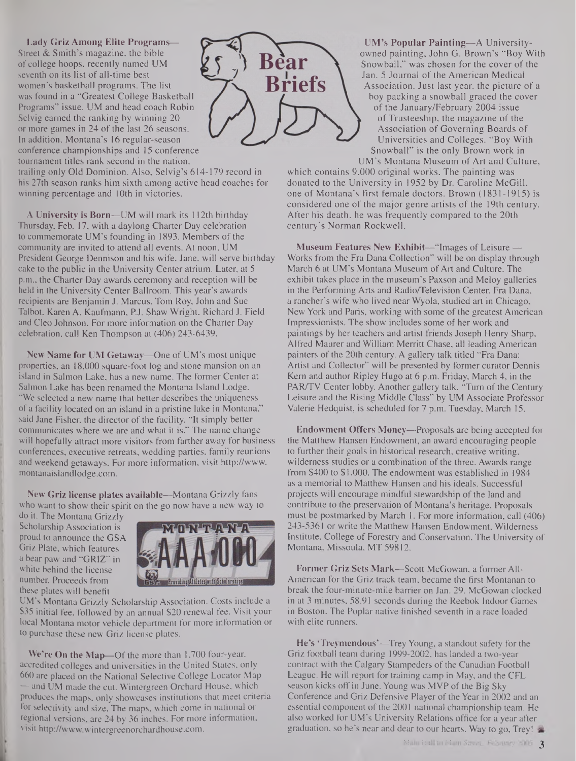**Lady Griz Among Elite Programs—** Street & Smith's magazine, the bible of college hoops, recently named UM seventh on its list of all-time best women's basketball programs. The list was found in a "Greatest College Basketball Programs" issue. UM and head coach Robin Selvig earned the ranking by winning 20 or more games in 24 of the last 26 seasons. In addition, Montana's 16 regular-season conference championships and 15 conference tournament titles rank second in the nation,



trailing only Old Dominion. Also, Selvig's 614-179 record in his 27th season ranks him sixth among active head coaches for winning percentage and 10th in victories.

**A University is Born—**UM will mark its 112th birthday Thursday, Feb. 17, with a daylong Charter Day celebration to commemorate UM's founding in 1893. Members of the community are invited to attend all events. At noon, UM President George Dennison and his wife, Jane, will serve birthday cake to the public in the University Center atrium. Later, at 5 p.m., the Charter Day awards ceremony and reception will be held in the University Center Ballroom. This year's awards recipients are Benjamin J. Marcus, Tom Roy, John and Sue Talbot, Karen A. Kaufmann, P.J. Shaw Wright, Richard J. Field and Cleo Johnson. For more information on the Charter Day celebration, call Ken Thompson at (406) 243-6439.

**New Name for UM Getaway—**One of UM's most unique properties, an 18,000 square-foot log and stone mansion on an island in Salmon Lake, has a new name. The former Center at Salmon Lake has been renamed the Montana Island Lodge. "We selected a new name that better describes the uniqueness of a facility located on an island in a pristine lake in Montana," said Jane Fisher, the director of the facility. "It simply better communicates where we are and what it is." The name change will hopefully attract more visitors from farther away for business conferences, executive retreats, wedding parties, family reunions and weekend getaways. For more information, visit http://www. <montanaislandlodge.com>.

**New Griz license plates available—**Montana Grizzly fans who want to show their spirit on the go now have a new way to

do it. The Montana Grizzly Scholarship Association is proud to announce the GSA Griz Plate, which features a bear paw and "GRIZ" in white behind the license number. Proceeds from these plates will benefit



UM's Montana Grizzly Scholarship Association. Costs include a **\$35** initial fee, followed by an annual \$20 renewal fee. Visit your local Montana motor vehicle department for more information or to purchase these new Griz license plates.

We're On the Map-Of the more than 1,700 four-year, accredited colleges and universities in the United States, only 660 are placed on the National Selective College Locator Map — and UM made the cut. Wintergreen Orchard House, which produces the maps, only showcases institutions that meet criteria for selectivity and size. The maps, which come in national or regional versions, are 24 by 36 inches. For more information, visit <http://www.wintergreenorchardhouse.com>.

**UM's Popular Painting—**A Universityowned painting, John G. Brown's "Boy With Snowball," was chosen for the cover of the Jan. 5 Journal of the American Medical Association. Just last year, the picture of a boy packing a snowball graced the cover of the January/February 2004 issue of Trusteeship, the magazine of the Association of Governing Boards of Universities and Colleges. "Boy With Snowball" is the only Brown work in UM's Montana Museum of Art and Culture,

which contains 9,000 original works. The painting was donated to the University in 1952 by Dr. Caroline McGill, one of Montana's first female doctors. Brown (1831-1915) is considered one of the major genre artists of the 19th century. After his death, he was frequently compared to the 20th century's Norman Rockwell.

**Museum Features New Exhibit—**"Images of Leisure — Works from the Fra Dana Collection" will be on display through March 6 at UM's Montana Museum of Art and Culture. The exhibit takes place in the museum's Paxson and Meloy galleries in the Performing Arts and Radio/Television Center. Fra Dana, a rancher's wife who lived near Wyola, studied art in Chicago, New York and Paris, working with some of the greatest American Impressionists. The show includes some of her work and paintings by her teachers and artist friends Joseph Henry Sharp, Alfred Maurer and William Merritt Chase, all leading American painters of the 20th century. A gallery talk titled "Fra Dana: Artist and Collector" will be presented by former curator Dennis Kern and author Ripley Hugo at 6 p.m. Friday, March 4, in the PAR/TV Center lobby. Another gallery talk, "Turn of the Century Leisure and the Rising Middle Class" by UM Associate Professor Valerie Hedquist, is scheduled for 7 p.m. Tuesday, March 15.

**Endowment Offers Money—**Proposals are being accepted for the Matthew Hansen Endowment, an award encouraging people to further their goals in historical research, creative writing, wilderness studies or a combination of the three. Awards range from \$400 to \$1,000. The endowment was established in 1984 as a memorial to Matthew Hansen and his ideals. Successful projects will encourage mindful stewardship of the land and contribute to the preservation of Montana's heritage. Proposals must be postmarked by March 1. For more information, call (406) 243-5361 or write the Matthew Hansen Endowment, Wilderness Institute, College of Forestry and Conservation, The University of Montana, Missoula, MT 59812.

**Former Griz Sets Mark—**Scott McGowan, a former All-American for the Griz track team, became the first Montanan to break the four-minute-mile barrier on Jan. 29. McGowan clocked in at 3 minutes, 58.91 seconds during the Reebok Indoor Games in Boston. The Poplar native finished seventh in a race loaded with elite runners.

**He's 'Treymendous'—**Trey Young, a standout safety for the Griz football team during 1999-2002, has landed a two-year contract with the Calgary Stampeders of the Canadian Football League. He will report for training camp in May, and the CFL season kicks off in June. Young was MVP of the Big Sky Conference and Griz Defensive Player of the Year in 2002 and an essential component of the 2001 national championship team. He also worked for UM's University Relations office for a year after graduation, so he's near and dear to our hearts. Way to go, Trey!